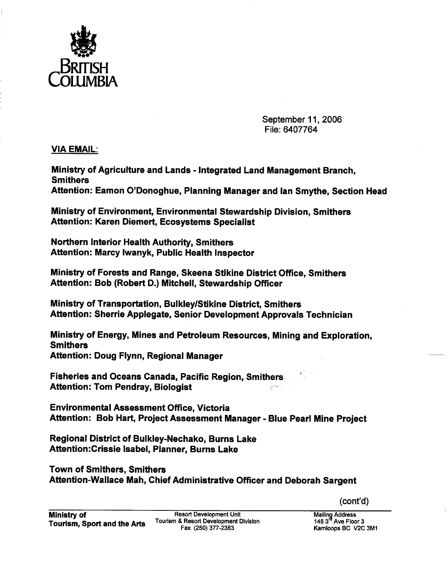

September 11, 2006 File: 6407764

~.

VIA EMAIL:

Ministry of Agriculture and Lands - Integrated Land Management Branch, Smithers

Attention: Eamon O'Donoghue, Planning Manager and Ian Smythe, Section Head

Ministry of Environment, Environmental Stewardship Division, Smithers Attention: Karen Diemert, Ecosystems Specialist

Northern Interior Health Authority, Smithers Attention: Marcy Iwanyk, Public Health Inspector

Ministry of Forests and Range, Skeena Stikine District Office, Smithers Attention: Bob (Robert D.) Mitchell, Stewardship Officer

Ministry of Transportation, Bulkley/Stikine District, Smithers Attention: Sherrie Applegate, Senior Development Approvals Technician

Ministry of Energy, Mines and Petroleum Resources, Mining and Exploration, **Smithers** Attention: Doug Flynn, Regional Manager

Fisheries and Oceans Canada, Pacific Region, Smithers Attention: Tom Pendray, Biologist 经济

**Environmental Assessment Office, Victoria** Attention: Bob Hart, Project Assessment Manager - Blue Pearl Mine Project

Regional District of Bulkley-Nechako, Burns Lake Attention:Crissie Isabel, Planner, Burns Lake

Town of Smithers, Smithers Attention-Wallace Mah, Chief Administrative Offcer and Deborah Sargent

 $(cont'd)$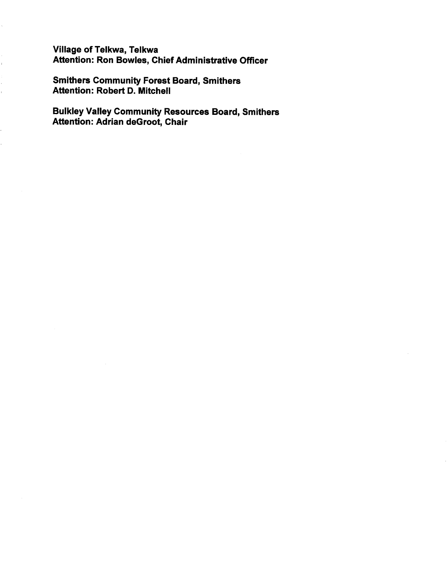Vilage of Telkwa, Telkwa Attention: Ron Bowles, Chief Administrative Officer

Smithers Community Forest Board, Smithers Attention: Robert D. Mitchell

 $\frac{1}{\sqrt{2}}$ 

í, i.

¢,

Bulkley Valley Community Resources Board, Smithers Attention: Adrian deGroot, Chair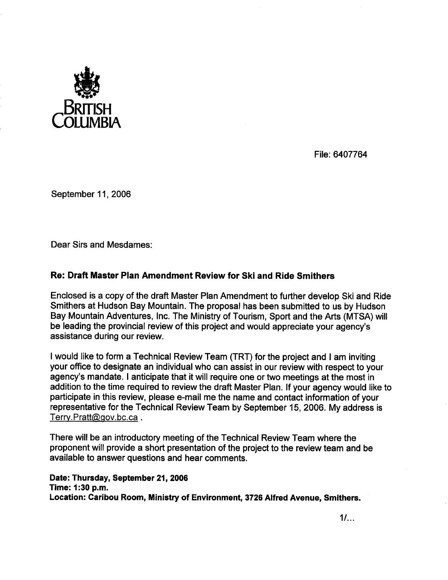

File: 6407764

September 11, 2006

Dear Sirs and Mesdames:

## Re: Draft Master Plan Amendment Review for Ski and Ride Smithers

Enclosed is a copy of the draft Master Plan Amendment to further develop Ski and Ride Smithers at Hudson Bay Mountain. The proposal has been submitted to us by Hudson Bay Mountain Adventures, Inc. The Ministry of Tourism, Sport and the Arts (MTSA) will be leading the provincial review of this project and would appreciate your agency's assistance during our review.

I would like to form a Technical Review Team (TRT) for the project and I am inviting your office to designate an individual who can assist in our review with respect to your agency's mandate. I anticipate that it will require one or two meetings at the most in addition to the time required to review the draft Master Plan. If your agency would like to participate in this review, please e-mail me the name and contact information of your representative for the Technical Review Team by September 15,2006. My address is Terry.Pratt@gov.bc.ca.

There wil be an introductory meeting of the Technical Review Team where the proponent will provide a short presentation of the project to the review team and be available to answer questions and hear comments.

Date: Thursday, September 21, 2006 Time: 1 :30 p.m. Location: Caribou Room, Ministry of Environment, 3726 Alfred Avenue, Smithers.

 $1/\ldots$